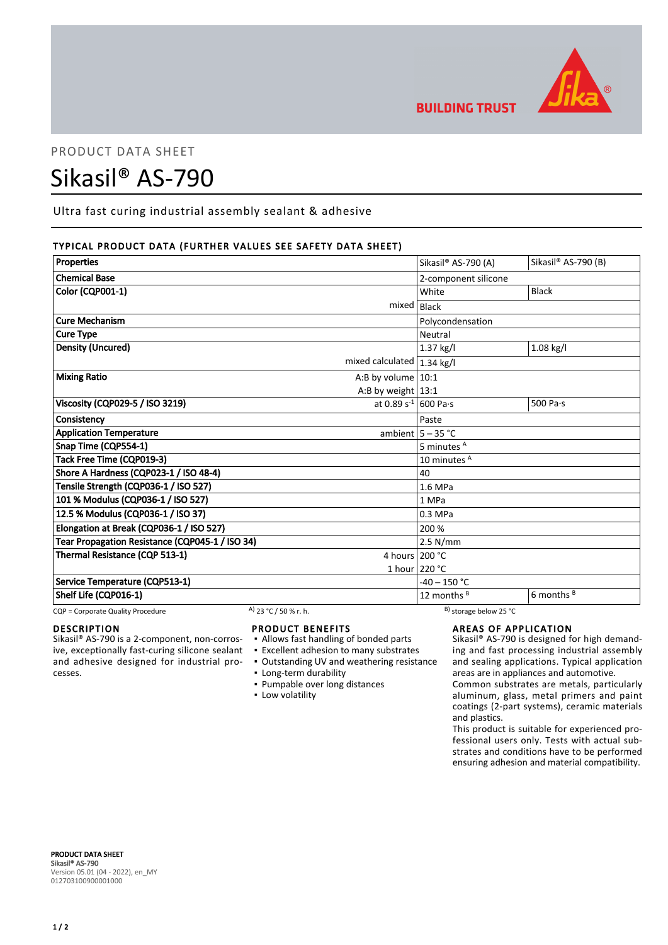

**BUILDING TRUST** 

# PRODUCT DATA SHEET

# Sikasil® AS-790

Ultra fast curing industrial assembly sealant & adhesive

# TYPICAL PRODUCT DATA (FURTHER VALUES SEE SAFETY DATA SHEET)

| Properties                                      |                       |                               | Sikasil® AS-790 (A)               | Sikasil® AS-790 (B)   |
|-------------------------------------------------|-----------------------|-------------------------------|-----------------------------------|-----------------------|
| <b>Chemical Base</b>                            |                       |                               | 2-component silicone              |                       |
| Color (CQP001-1)                                |                       |                               | White                             | <b>Black</b>          |
|                                                 |                       | mixed                         | Black                             |                       |
| <b>Cure Mechanism</b>                           |                       | Polycondensation              |                                   |                       |
| <b>Cure Type</b>                                |                       | Neutral                       |                                   |                       |
| <b>Density (Uncured)</b>                        |                       |                               | 1.37 kg/l                         | 1.08 kg/l             |
|                                                 |                       | mixed calculated $ 1.34$ kg/l |                                   |                       |
| <b>Mixing Ratio</b>                             | A:B by volume $10:1$  |                               |                                   |                       |
|                                                 |                       | A:B by weight $13:1$          |                                   |                       |
| Viscosity (CQP029-5 / ISO 3219)                 |                       | at 0.89 $s^{-1}$ 600 Pa·s     |                                   | 500 Pa·s              |
| Consistency                                     |                       | Paste                         |                                   |                       |
| <b>Application Temperature</b>                  |                       | ambient $5 - 35$ °C           |                                   |                       |
| Snap Time (CQP554-1)                            |                       | 5 minutes <sup>A</sup>        |                                   |                       |
| Tack Free Time (CQP019-3)                       |                       | 10 minutes A                  |                                   |                       |
| Shore A Hardness (CQP023-1 / ISO 48-4)          |                       |                               | 40                                |                       |
| Tensile Strength (CQP036-1 / ISO 527)           |                       |                               | 1.6 MPa                           |                       |
| 101 % Modulus (CQP036-1 / ISO 527)              |                       | 1 MPa                         |                                   |                       |
| 12.5 % Modulus (CQP036-1 / ISO 37)              |                       | 0.3 MPa                       |                                   |                       |
| Elongation at Break (CQP036-1 / ISO 527)        |                       |                               | 200 %                             |                       |
| Tear Propagation Resistance (CQP045-1 / ISO 34) |                       |                               | $2.5$ N/mm                        |                       |
| Thermal Resistance (CQP 513-1)                  |                       | 4 hours 200 °C                |                                   |                       |
|                                                 |                       |                               | 1 hour 220 °C                     |                       |
| Service Temperature (CQP513-1)                  |                       |                               | $-40 - 150 °C$                    |                       |
| Shelf Life (CQP016-1)                           |                       |                               | 12 months $B$                     | 6 months <sup>B</sup> |
| CQP = Corporate Quality Procedure               | A) 23 °C / 50 % r. h. |                               | <sup>B)</sup> storage below 25 °C |                       |

## DESCRIPTION

Sikasil® AS-790 is a 2-component, non-corrosive, exceptionally fast-curing silicone sealant and adhesive designed for industrial processes.

#### PRODUCT BENEFITS

- Allows fast handling of bonded parts
- Excellent adhesion to many substrates
- Outstanding UV and weathering resistance
- Long-term durability
- Pumpable over long distances
- **Low volatility**

#### AREAS OF APPLICATION

Sikasil® AS-790 is designed for high demanding and fast processing industrial assembly and sealing applications. Typical application areas are in appliances and automotive.

Common substrates are metals, particularly aluminum, glass, metal primers and paint coatings (2-part systems), ceramic materials and plastics.

This product is suitable for experienced professional users only. Tests with actual substrates and conditions have to be performed ensuring adhesion and material compatibility.